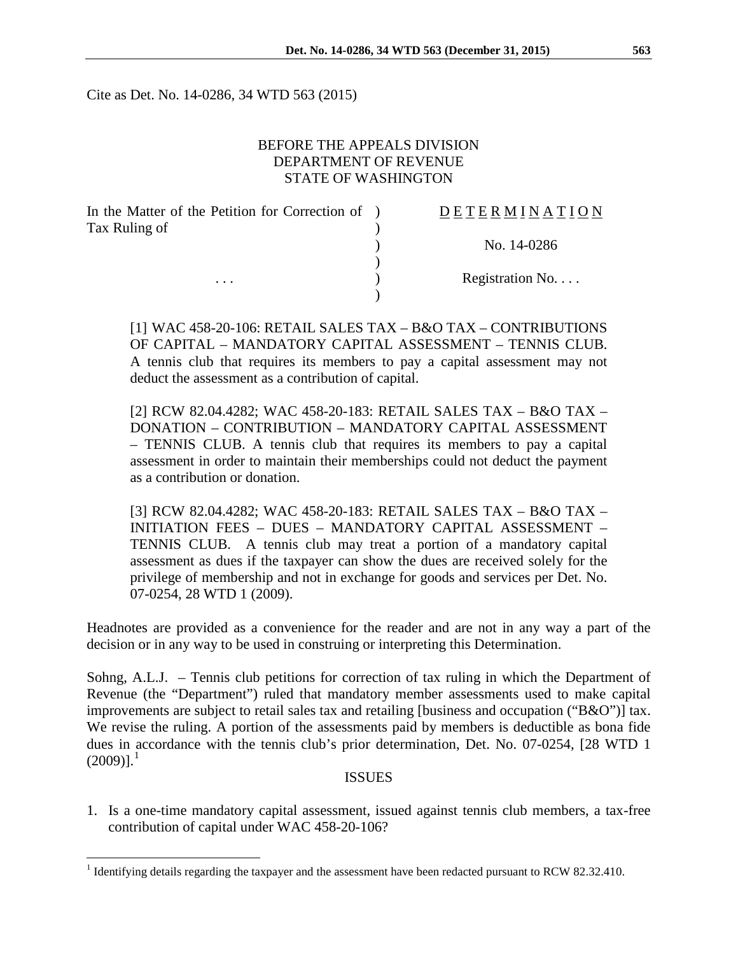Cite as Det. No. 14-0286, 34 WTD 563 (2015)

### BEFORE THE APPEALS DIVISION DEPARTMENT OF REVENUE STATE OF WASHINGTON

| In the Matter of the Petition for Correction of ) | DETERMINATION   |
|---------------------------------------------------|-----------------|
| Tax Ruling of                                     |                 |
|                                                   | No. 14-0286     |
|                                                   |                 |
| $\cdot$ $\cdot$ $\cdot$                           | Registration No |
|                                                   |                 |

[1] WAC 458-20-106: RETAIL SALES TAX – B&O TAX – CONTRIBUTIONS OF CAPITAL – MANDATORY CAPITAL ASSESSMENT – TENNIS CLUB. A tennis club that requires its members to pay a capital assessment may not deduct the assessment as a contribution of capital.

[2] RCW 82.04.4282; WAC 458-20-183: RETAIL SALES TAX – B&O TAX – DONATION – CONTRIBUTION – MANDATORY CAPITAL ASSESSMENT – TENNIS CLUB. A tennis club that requires its members to pay a capital assessment in order to maintain their memberships could not deduct the payment as a contribution or donation.

[3] RCW 82.04.4282; WAC 458-20-183: RETAIL SALES TAX – B&O TAX – INITIATION FEES – DUES – MANDATORY CAPITAL ASSESSMENT – TENNIS CLUB. A tennis club may treat a portion of a mandatory capital assessment as dues if the taxpayer can show the dues are received solely for the privilege of membership and not in exchange for goods and services per Det. No. 07-0254, 28 WTD 1 (2009).

Headnotes are provided as a convenience for the reader and are not in any way a part of the decision or in any way to be used in construing or interpreting this Determination.

Sohng, A.L.J. – Tennis club petitions for correction of tax ruling in which the Department of Revenue (the "Department") ruled that mandatory member assessments used to make capital improvements are subject to retail sales tax and retailing [business and occupation ("B&O")] tax. We revise the ruling. A portion of the assessments paid by members is deductible as bona fide dues in accordance with the tennis club's prior determination, Det. No. 07-0254, [28 WTD 1  $(2009)]^{1}$  $(2009)]^{1}$  $(2009)]^{1}$ 

#### ISSUES

1. Is a one-time mandatory capital assessment, issued against tennis club members, a tax-free contribution of capital under WAC 458-20-106?

<span id="page-0-0"></span><sup>&</sup>lt;sup>1</sup> Identifying details regarding the taxpayer and the assessment have been redacted pursuant to RCW 82.32.410.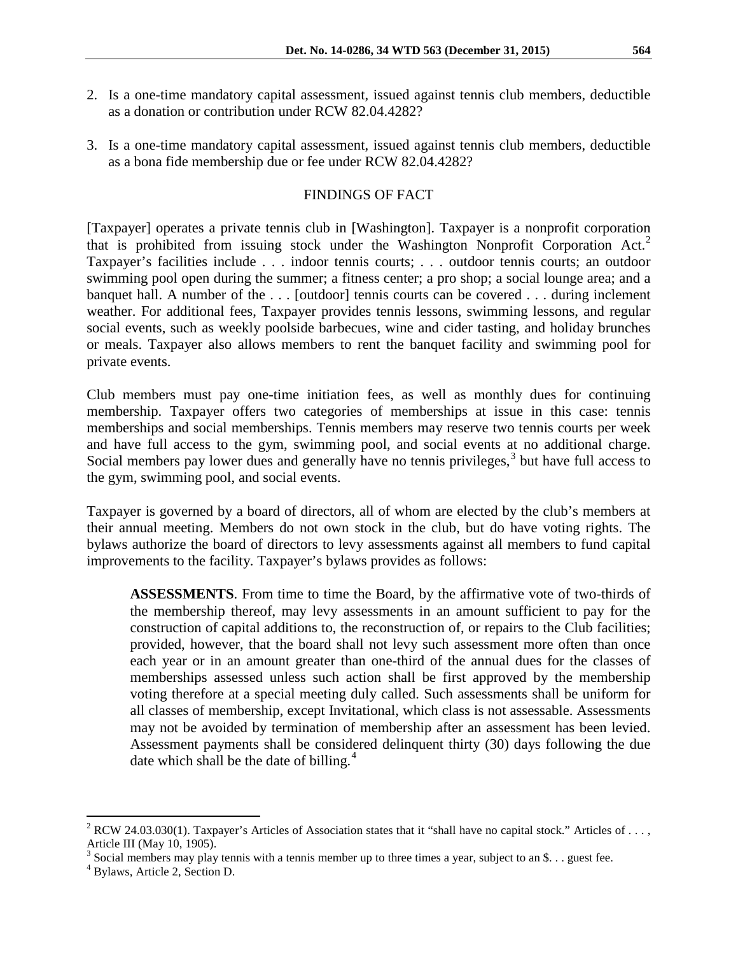- 2. Is a one-time mandatory capital assessment, issued against tennis club members, deductible as a donation or contribution under RCW 82.04.4282?
- 3. Is a one-time mandatory capital assessment, issued against tennis club members, deductible as a bona fide membership due or fee under RCW 82.04.4282?

## FINDINGS OF FACT

[Taxpayer] operates a private tennis club in [Washington]. Taxpayer is a nonprofit corporation that is prohibited from issuing stock under the Washington Nonprofit Corporation  $Act.^2$  $Act.^2$ Taxpayer's facilities include . . . indoor tennis courts; . . . outdoor tennis courts; an outdoor swimming pool open during the summer; a fitness center; a pro shop; a social lounge area; and a banquet hall. A number of the . . . [outdoor] tennis courts can be covered . . . during inclement weather. For additional fees, Taxpayer provides tennis lessons, swimming lessons, and regular social events, such as weekly poolside barbecues, wine and cider tasting, and holiday brunches or meals. Taxpayer also allows members to rent the banquet facility and swimming pool for private events.

Club members must pay one-time initiation fees, as well as monthly dues for continuing membership. Taxpayer offers two categories of memberships at issue in this case: tennis memberships and social memberships. Tennis members may reserve two tennis courts per week and have full access to the gym, swimming pool, and social events at no additional charge. Social members pay lower dues and generally have no tennis privileges,  $3$  but have full access to the gym, swimming pool, and social events.

Taxpayer is governed by a board of directors, all of whom are elected by the club's members at their annual meeting. Members do not own stock in the club, but do have voting rights. The bylaws authorize the board of directors to levy assessments against all members to fund capital improvements to the facility. Taxpayer's bylaws provides as follows:

**ASSESSMENTS**. From time to time the Board, by the affirmative vote of two-thirds of the membership thereof, may levy assessments in an amount sufficient to pay for the construction of capital additions to, the reconstruction of, or repairs to the Club facilities; provided, however, that the board shall not levy such assessment more often than once each year or in an amount greater than one-third of the annual dues for the classes of memberships assessed unless such action shall be first approved by the membership voting therefore at a special meeting duly called. Such assessments shall be uniform for all classes of membership, except Invitational, which class is not assessable. Assessments may not be avoided by termination of membership after an assessment has been levied. Assessment payments shall be considered delinquent thirty (30) days following the due date which shall be the date of billing.<sup>[4](#page-1-2)</sup>

<span id="page-1-0"></span><sup>&</sup>lt;sup>2</sup> RCW 24.03.030(1). Taxpayer's Articles of Association states that it "shall have no capital stock." Articles of . . . , Article III (May 10, 1905).

<span id="page-1-1"></span><sup>&</sup>lt;sup>3</sup> Social members may play tennis with a tennis member up to three times a year, subject to an \$. . . guest fee.  $4$  Bylaws, Article 2, Section D.

<span id="page-1-2"></span>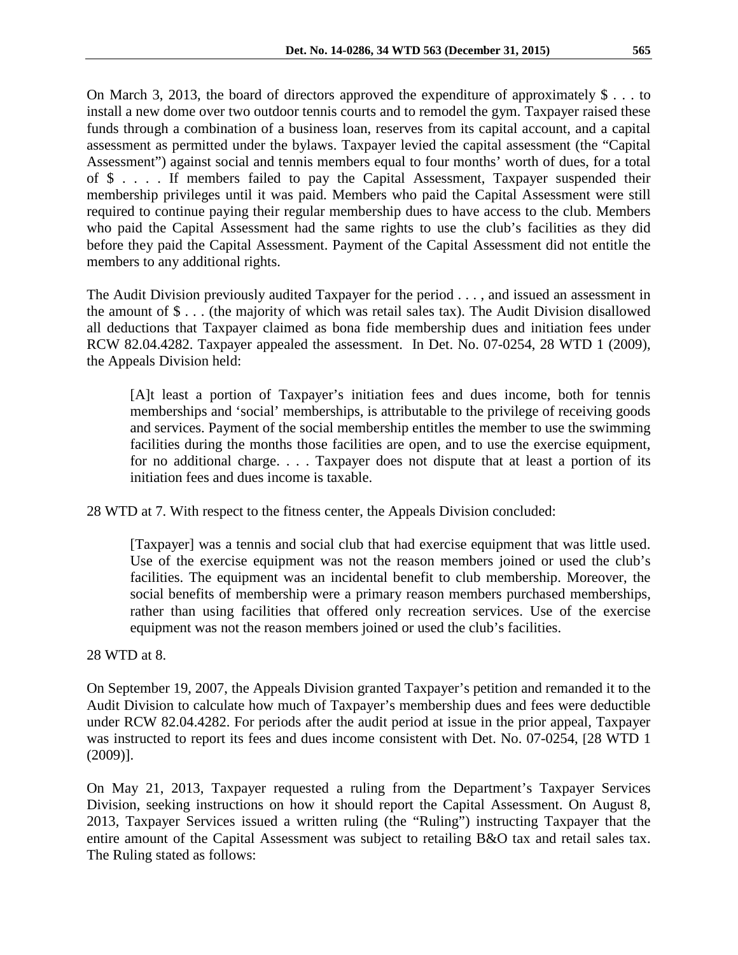On March 3, 2013, the board of directors approved the expenditure of approximately  $\$\ldots\$$ install a new dome over two outdoor tennis courts and to remodel the gym. Taxpayer raised these funds through a combination of a business loan, reserves from its capital account, and a capital assessment as permitted under the bylaws. Taxpayer levied the capital assessment (the "Capital Assessment") against social and tennis members equal to four months' worth of dues, for a total of \$ . . . . If members failed to pay the Capital Assessment, Taxpayer suspended their membership privileges until it was paid. Members who paid the Capital Assessment were still required to continue paying their regular membership dues to have access to the club. Members who paid the Capital Assessment had the same rights to use the club's facilities as they did before they paid the Capital Assessment. Payment of the Capital Assessment did not entitle the members to any additional rights.

The Audit Division previously audited Taxpayer for the period . . . , and issued an assessment in the amount of \$ . . . (the majority of which was retail sales tax). The Audit Division disallowed all deductions that Taxpayer claimed as bona fide membership dues and initiation fees under RCW 82.04.4282. Taxpayer appealed the assessment. In Det. No. 07-0254, 28 WTD 1 (2009), the Appeals Division held:

[A]t least a portion of Taxpayer's initiation fees and dues income, both for tennis memberships and 'social' memberships, is attributable to the privilege of receiving goods and services. Payment of the social membership entitles the member to use the swimming facilities during the months those facilities are open, and to use the exercise equipment, for no additional charge. . . . Taxpayer does not dispute that at least a portion of its initiation fees and dues income is taxable.

28 WTD at 7. With respect to the fitness center, the Appeals Division concluded:

[Taxpayer] was a tennis and social club that had exercise equipment that was little used. Use of the exercise equipment was not the reason members joined or used the club's facilities. The equipment was an incidental benefit to club membership. Moreover, the social benefits of membership were a primary reason members purchased memberships, rather than using facilities that offered only recreation services. Use of the exercise equipment was not the reason members joined or used the club's facilities.

28 WTD at 8.

On September 19, 2007, the Appeals Division granted Taxpayer's petition and remanded it to the Audit Division to calculate how much of Taxpayer's membership dues and fees were deductible under RCW 82.04.4282. For periods after the audit period at issue in the prior appeal, Taxpayer was instructed to report its fees and dues income consistent with Det. No. 07-0254, [28 WTD 1 (2009)].

On May 21, 2013, Taxpayer requested a ruling from the Department's Taxpayer Services Division, seeking instructions on how it should report the Capital Assessment. On August 8, 2013, Taxpayer Services issued a written ruling (the "Ruling") instructing Taxpayer that the entire amount of the Capital Assessment was subject to retailing B&O tax and retail sales tax. The Ruling stated as follows: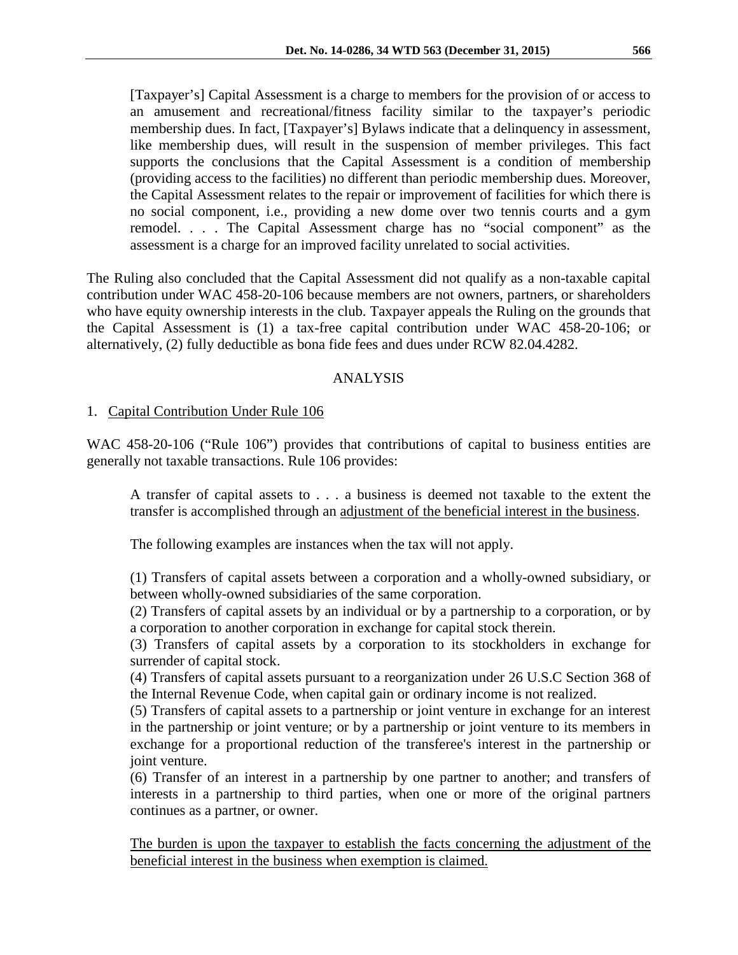[Taxpayer's] Capital Assessment is a charge to members for the provision of or access to an amusement and recreational/fitness facility similar to the taxpayer's periodic membership dues. In fact, [Taxpayer's] Bylaws indicate that a delinquency in assessment, like membership dues, will result in the suspension of member privileges. This fact supports the conclusions that the Capital Assessment is a condition of membership (providing access to the facilities) no different than periodic membership dues. Moreover, the Capital Assessment relates to the repair or improvement of facilities for which there is no social component, i.e., providing a new dome over two tennis courts and a gym remodel. . . . The Capital Assessment charge has no "social component" as the assessment is a charge for an improved facility unrelated to social activities.

The Ruling also concluded that the Capital Assessment did not qualify as a non-taxable capital contribution under WAC 458-20-106 because members are not owners, partners, or shareholders who have equity ownership interests in the club. Taxpayer appeals the Ruling on the grounds that the Capital Assessment is (1) a tax-free capital contribution under WAC 458-20-106; or alternatively, (2) fully deductible as bona fide fees and dues under RCW 82.04.4282.

# ANALYSIS

## 1. Capital Contribution Under Rule 106

WAC 458-20-106 ("Rule 106") provides that contributions of capital to business entities are generally not taxable transactions. Rule 106 provides:

A transfer of capital assets to . . . a business is deemed not taxable to the extent the transfer is accomplished through an adjustment of the beneficial interest in the business.

The following examples are instances when the tax will not apply.

(1) Transfers of capital assets between a corporation and a wholly-owned subsidiary, or between wholly-owned subsidiaries of the same corporation.

(2) Transfers of capital assets by an individual or by a partnership to a corporation, or by a corporation to another corporation in exchange for capital stock therein.

(3) Transfers of capital assets by a corporation to its stockholders in exchange for surrender of capital stock.

(4) Transfers of capital assets pursuant to a reorganization under 26 U.S.C Section 368 of the Internal Revenue Code, when capital gain or ordinary income is not realized.

(5) Transfers of capital assets to a partnership or joint venture in exchange for an interest in the partnership or joint venture; or by a partnership or joint venture to its members in exchange for a proportional reduction of the transferee's interest in the partnership or joint venture.

(6) Transfer of an interest in a partnership by one partner to another; and transfers of interests in a partnership to third parties, when one or more of the original partners continues as a partner, or owner.

The burden is upon the taxpayer to establish the facts concerning the adjustment of the beneficial interest in the business when exemption is claimed.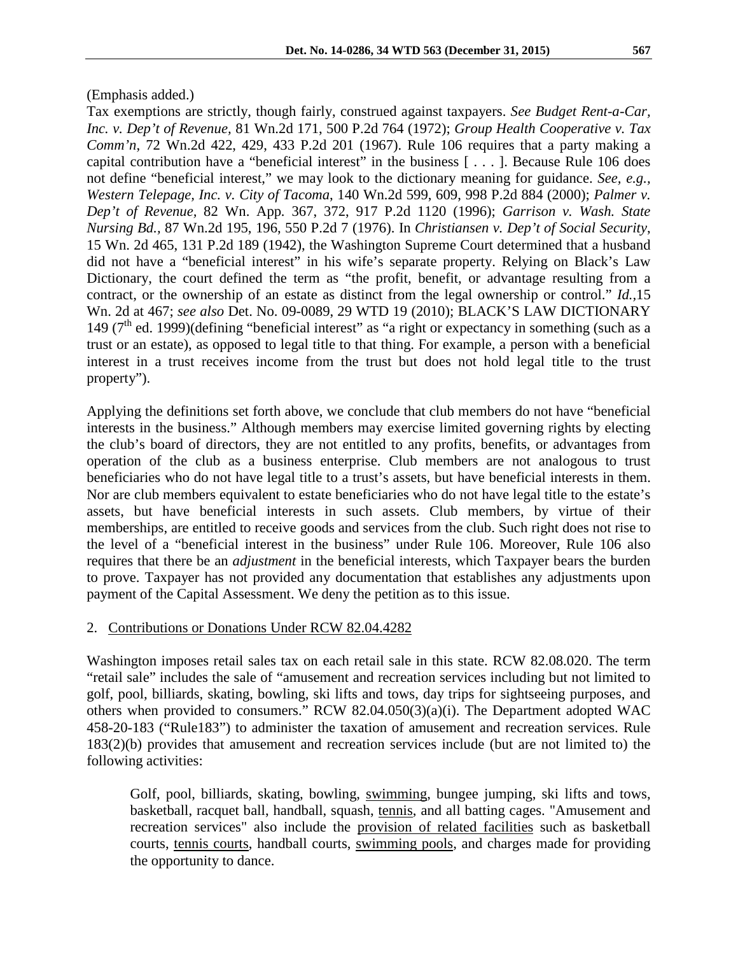Tax exemptions are strictly, though fairly, construed against taxpayers. *See Budget Rent-a-Car, Inc. v. Dep't of Revenue,* 81 Wn.2d 171, 500 P.2d 764 (1972); *Group Health Cooperative v. Tax Comm'n*, 72 Wn.2d 422, 429, 433 P.2d 201 (1967). Rule 106 requires that a party making a capital contribution have a "beneficial interest" in the business [ . . . ]. Because Rule 106 does not define "beneficial interest," we may look to the dictionary meaning for guidance. *See, e.g., Western Telepage, Inc. v. City of Tacoma*, 140 Wn.2d 599, 609, 998 P.2d 884 (2000); *Palmer v. Dep't of Revenue,* 82 Wn. App*.* 367, 372, 917 P.2d 1120 (1996); *Garrison v. Wash. State Nursing Bd.,* 87 Wn.2d 195, 196, 550 P.2d 7 (1976). In *Christiansen v. Dep't of Social Security*, 15 Wn. 2d 465, 131 P.2d 189 (1942), the Washington Supreme Court determined that a husband did not have a "beneficial interest" in his wife's separate property. Relying on Black's Law Dictionary, the court defined the term as "the profit, benefit, or advantage resulting from a contract, or the ownership of an estate as distinct from the legal ownership or control." *Id.,*15 Wn. 2d at 467; *see also* Det. No. 09-0089, 29 WTD 19 (2010); BLACK'S LAW DICTIONARY 149 ( $7<sup>th</sup>$  ed. 1999)(defining "beneficial interest" as "a right or expectancy in something (such as a trust or an estate), as opposed to legal title to that thing. For example, a person with a beneficial interest in a trust receives income from the trust but does not hold legal title to the trust property").

Applying the definitions set forth above, we conclude that club members do not have "beneficial interests in the business." Although members may exercise limited governing rights by electing the club's board of directors, they are not entitled to any profits, benefits, or advantages from operation of the club as a business enterprise. Club members are not analogous to trust beneficiaries who do not have legal title to a trust's assets, but have beneficial interests in them. Nor are club members equivalent to estate beneficiaries who do not have legal title to the estate's assets, but have beneficial interests in such assets. Club members, by virtue of their memberships, are entitled to receive goods and services from the club. Such right does not rise to the level of a "beneficial interest in the business" under Rule 106. Moreover, Rule 106 also requires that there be an *adjustment* in the beneficial interests, which Taxpayer bears the burden to prove. Taxpayer has not provided any documentation that establishes any adjustments upon payment of the Capital Assessment. We deny the petition as to this issue.

#### 2. Contributions or Donations Under RCW 82.04.4282

Washington imposes retail sales tax on each retail sale in this state. RCW 82.08.020. The term "retail sale" includes the sale of "amusement and recreation services including but not limited to golf, pool, billiards, skating, bowling, ski lifts and tows, day trips for sightseeing purposes, and others when provided to consumers." RCW 82.04.050(3)(a)(i). The Department adopted WAC 458-20-183 ("Rule183") to administer the taxation of amusement and recreation services. Rule 183(2)(b) provides that amusement and recreation services include (but are not limited to) the following activities:

Golf, pool, billiards, skating, bowling, swimming, bungee jumping, ski lifts and tows, basketball, racquet ball, handball, squash, tennis, and all batting cages. "Amusement and recreation services" also include the provision of related facilities such as basketball courts, tennis courts, handball courts, swimming pools, and charges made for providing the opportunity to dance.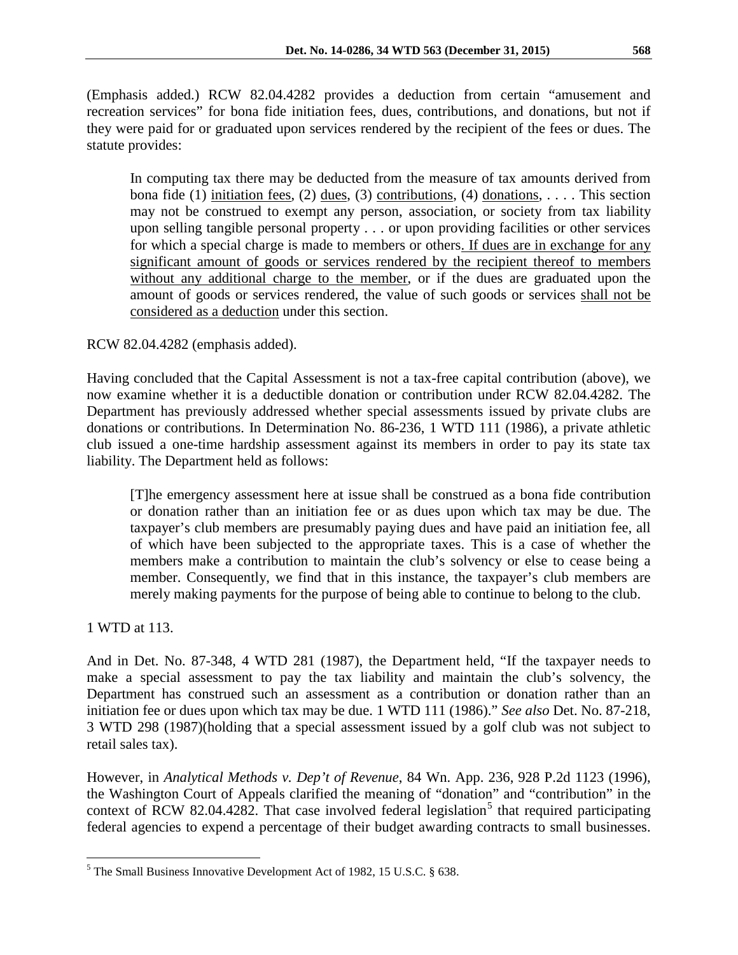(Emphasis added.) RCW 82.04.4282 provides a deduction from certain "amusement and recreation services" for bona fide initiation fees, dues, contributions, and donations, but not if they were paid for or graduated upon services rendered by the recipient of the fees or dues. The statute provides:

In computing tax there may be deducted from the measure of tax amounts derived from bona fide (1) initiation fees, (2) dues, (3) contributions, (4) donations, ... This section may not be construed to exempt any person, association, or society from tax liability upon selling tangible personal property . . . or upon providing facilities or other services for which a special charge is made to members or others. If dues are in exchange for any significant amount of goods or services rendered by the recipient thereof to members without any additional charge to the member, or if the dues are graduated upon the amount of goods or services rendered, the value of such goods or services shall not be considered as a deduction under this section.

RCW 82.04.4282 (emphasis added).

Having concluded that the Capital Assessment is not a tax-free capital contribution (above), we now examine whether it is a deductible donation or contribution under RCW 82.04.4282. The Department has previously addressed whether special assessments issued by private clubs are donations or contributions. In Determination No. 86-236, 1 WTD 111 (1986), a private athletic club issued a one-time hardship assessment against its members in order to pay its state tax liability. The Department held as follows:

[T]he emergency assessment here at issue shall be construed as a bona fide contribution or donation rather than an initiation fee or as dues upon which tax may be due. The taxpayer's club members are presumably paying dues and have paid an initiation fee, all of which have been subjected to the appropriate taxes. This is a case of whether the members make a contribution to maintain the club's solvency or else to cease being a member. Consequently, we find that in this instance, the taxpayer's club members are merely making payments for the purpose of being able to continue to belong to the club.

1 WTD at 113.

And in Det. No. 87-348, 4 WTD 281 (1987), the Department held, "If the taxpayer needs to make a special assessment to pay the tax liability and maintain the club's solvency, the Department has construed such an assessment as a contribution or donation rather than an initiation fee or dues upon which tax may be due. 1 WTD 111 (1986)." *See also* Det. No. 87-218, 3 WTD 298 (1987)(holding that a special assessment issued by a golf club was not subject to retail sales tax).

However, in *Analytical Methods v. Dep't of Revenue*, 84 Wn. App. 236, 928 P.2d 1123 (1996), the Washington Court of Appeals clarified the meaning of "donation" and "contribution" in the context of RCW 82.04.4282. That case involved federal legislation<sup>[5](#page-5-0)</sup> that required participating federal agencies to expend a percentage of their budget awarding contracts to small businesses.

<span id="page-5-0"></span> <sup>5</sup> The Small Business Innovative Development Act of 1982, 15 U.S.C. § 638.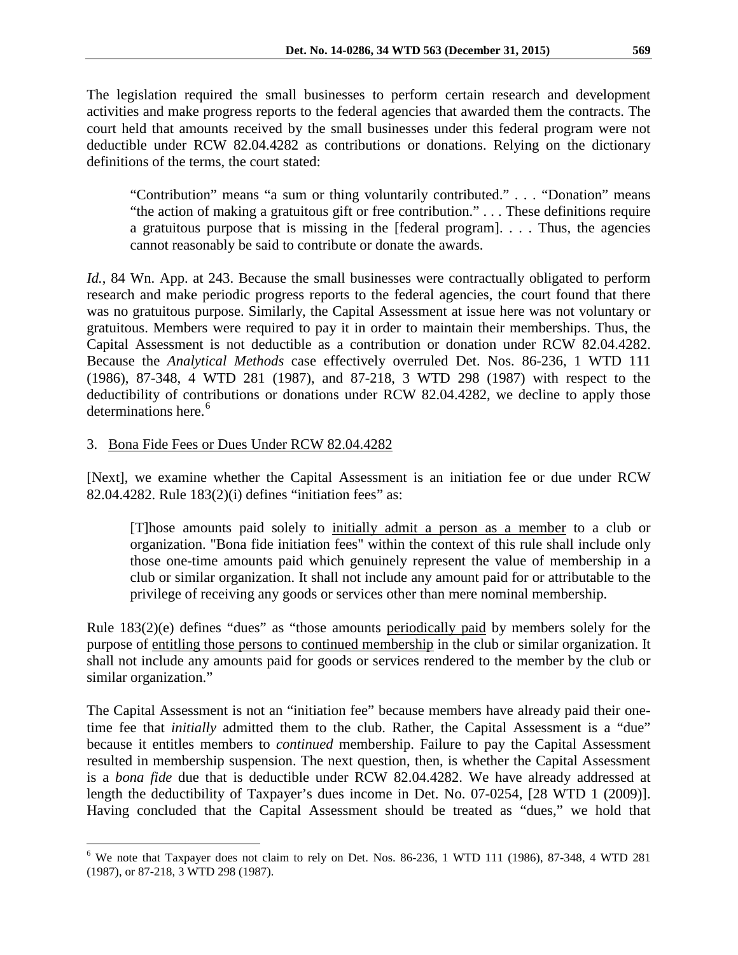The legislation required the small businesses to perform certain research and development activities and make progress reports to the federal agencies that awarded them the contracts. The court held that amounts received by the small businesses under this federal program were not deductible under RCW 82.04.4282 as contributions or donations. Relying on the dictionary definitions of the terms, the court stated:

"Contribution" means "a sum or thing voluntarily contributed." . . . "Donation" means "the action of making a gratuitous gift or free contribution." . . . These definitions require a gratuitous purpose that is missing in the [federal program]. . . . Thus, the agencies cannot reasonably be said to contribute or donate the awards.

*Id.*, 84 Wn. App. at 243. Because the small businesses were contractually obligated to perform research and make periodic progress reports to the federal agencies, the court found that there was no gratuitous purpose. Similarly, the Capital Assessment at issue here was not voluntary or gratuitous. Members were required to pay it in order to maintain their memberships. Thus, the Capital Assessment is not deductible as a contribution or donation under RCW 82.04.4282. Because the *Analytical Methods* case effectively overruled Det. Nos. 86-236, 1 WTD 111 (1986), 87-348, 4 WTD 281 (1987), and 87-218, 3 WTD 298 (1987) with respect to the deductibility of contributions or donations under RCW 82.04.4282, we decline to apply those determinations here.<sup>[6](#page-6-0)</sup>

### 3. Bona Fide Fees or Dues Under RCW 82.04.4282

[Next], we examine whether the Capital Assessment is an initiation fee or due under RCW 82.04.4282. Rule 183(2)(i) defines "initiation fees" as:

[T]hose amounts paid solely to initially admit a person as a member to a club or organization. "Bona fide initiation fees" within the context of this rule shall include only those one-time amounts paid which genuinely represent the value of membership in a club or similar organization. It shall not include any amount paid for or attributable to the privilege of receiving any goods or services other than mere nominal membership.

Rule 183(2)(e) defines "dues" as "those amounts periodically paid by members solely for the purpose of entitling those persons to continued membership in the club or similar organization. It shall not include any amounts paid for goods or services rendered to the member by the club or similar organization."

The Capital Assessment is not an "initiation fee" because members have already paid their onetime fee that *initially* admitted them to the club. Rather, the Capital Assessment is a "due" because it entitles members to *continued* membership. Failure to pay the Capital Assessment resulted in membership suspension. The next question, then, is whether the Capital Assessment is a *bona fide* due that is deductible under RCW 82.04.4282. We have already addressed at length the deductibility of Taxpayer's dues income in Det. No. 07-0254, [28 WTD 1 (2009)]. Having concluded that the Capital Assessment should be treated as "dues," we hold that

<span id="page-6-0"></span> $6$  We note that Taxpayer does not claim to rely on Det. Nos. 86-236, 1 WTD 111 (1986), 87-348, 4 WTD 281 (1987), or 87-218, 3 WTD 298 (1987).